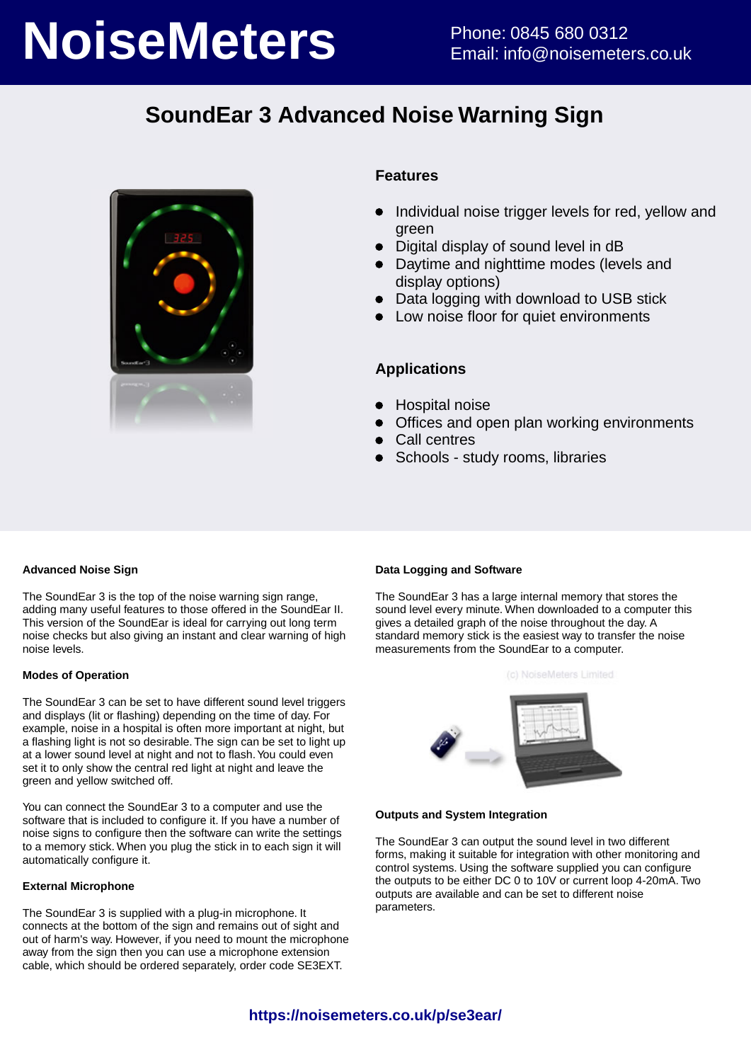# **NoiseMeters** Phone: 0845 680 0312

## **SoundEar 3 Advanced Noise Warning Sign**



#### **Features**

- Individual noise trigger levels for red, yellow and green
- Digital display of sound level in dB
- Daytime and nighttime modes (levels and display options)
- Data logging with download to USB stick
- Low noise floor for quiet environments

#### **Applications**

- Hospital noise
- Offices and open plan working environments
- Call centres
- Schools study rooms, libraries

#### **Advanced Noise Sign**

The SoundEar 3 is the top of the noise warning sign range, adding many useful features to those offered in the SoundEar II. This version of the SoundEar is ideal for carrying out long term noise checks but also giving an instant and clear warning of high noise levels.

#### **Modes of Operation**

The SoundEar 3 can be set to have different sound level triggers and displays (lit or flashing) depending on the time of day. For example, noise in a hospital is often more important at night, but a flashing light is not so desirable. The sign can be set to light up at a lower sound level at night and not to flash. You could even set it to only show the central red light at night and leave the green and yellow switched off.

You can connect the SoundEar 3 to a computer and use the software that is included to configure it. If you have a number of noise signs to configure then the software can write the settings to a memory stick. When you plug the stick in to each sign it will automatically configure it.

#### **External Microphone**

The SoundEar 3 is supplied with a plug-in microphone. It connects at the bottom of the sign and remains out of sight and out of harm's way. However, if you need to mount the microphone away from the sign then you can use a microphone extension cable, which should be ordered separately, order code SE3EXT.

#### **Data Logging and Software**

The SoundEar 3 has a large internal memory that stores the sound level every minute. When downloaded to a computer this gives a detailed graph of the noise throughout the day. A standard memory stick is the easiest way to transfer the noise measurements from the SoundEar to a computer.





#### **Outputs and System Integration**

The SoundEar 3 can output the sound level in two different forms, making it suitable for integration with other monitoring and control systems. Using the software supplied you can configure the outputs to be either DC 0 to 10V or current loop 4-20mA. Two outputs are available and can be set to different noise parameters.